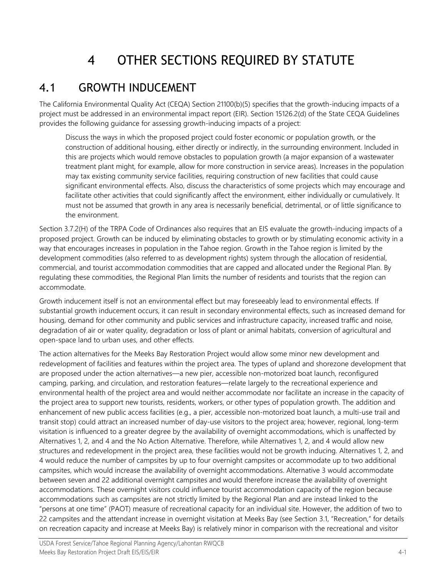# 4 OTHER SECTIONS REQUIRED BY STATUTE

#### 4.1 GROWTH INDUCEMENT

The California Environmental Quality Act (CEQA) Section 21100(b)(5) specifies that the growth-inducing impacts of a project must be addressed in an environmental impact report (EIR). Section 15126.2(d) of the State CEQA Guidelines provides the following guidance for assessing growth-inducing impacts of a project:

Discuss the ways in which the proposed project could foster economic or population growth, or the construction of additional housing, either directly or indirectly, in the surrounding environment. Included in this are projects which would remove obstacles to population growth (a major expansion of a wastewater treatment plant might, for example, allow for more construction in service areas). Increases in the population may tax existing community service facilities, requiring construction of new facilities that could cause significant environmental effects. Also, discuss the characteristics of some projects which may encourage and facilitate other activities that could significantly affect the environment, either individually or cumulatively. It must not be assumed that growth in any area is necessarily beneficial, detrimental, or of little significance to the environment.

Section 3.7.2(H) of the TRPA Code of Ordinances also requires that an EIS evaluate the growth-inducing impacts of a proposed project. Growth can be induced by eliminating obstacles to growth or by stimulating economic activity in a way that encourages increases in population in the Tahoe region. Growth in the Tahoe region is limited by the development commodities (also referred to as development rights) system through the allocation of residential, commercial, and tourist accommodation commodities that are capped and allocated under the Regional Plan. By regulating these commodities, the Regional Plan limits the number of residents and tourists that the region can accommodate.

Growth inducement itself is not an environmental effect but may foreseeably lead to environmental effects. If substantial growth inducement occurs, it can result in secondary environmental effects, such as increased demand for housing, demand for other community and public services and infrastructure capacity, increased traffic and noise, degradation of air or water quality, degradation or loss of plant or animal habitats, conversion of agricultural and open-space land to urban uses, and other effects.

The action alternatives for the Meeks Bay Restoration Project would allow some minor new development and redevelopment of facilities and features within the project area. The types of upland and shorezone development that are proposed under the action alternatives—a new pier, accessible non-motorized boat launch, reconfigured camping, parking, and circulation, and restoration features—relate largely to the recreational experience and environmental health of the project area and would neither accommodate nor facilitate an increase in the capacity of the project area to support new tourists, residents, workers, or other types of population growth. The addition and enhancement of new public access facilities (e.g., a pier, accessible non-motorized boat launch, a multi-use trail and transit stop) could attract an increased number of day-use visitors to the project area; however, regional, long-term visitation is influenced to a greater degree by the availability of overnight accommodations, which is unaffected by Alternatives 1, 2, and 4 and the No Action Alternative. Therefore, while Alternatives 1, 2, and 4 would allow new structures and redevelopment in the project area, these facilities would not be growth inducing. Alternatives 1, 2, and 4 would reduce the number of campsites by up to four overnight campsites or accommodate up to two additional campsites, which would increase the availability of overnight accommodations. Alternative 3 would accommodate between seven and 22 additional overnight campsites and would therefore increase the availability of overnight accommodations. These overnight visitors could influence tourist accommodation capacity of the region because accommodations such as campsites are not strictly limited by the Regional Plan and are instead linked to the "persons at one time" (PAOT) measure of recreational capacity for an individual site. However, the addition of two to 22 campsites and the attendant increase in overnight visitation at Meeks Bay (see Section 3.1, "Recreation," for details on recreation capacity and increase at Meeks Bay) is relatively minor in comparison with the recreational and visitor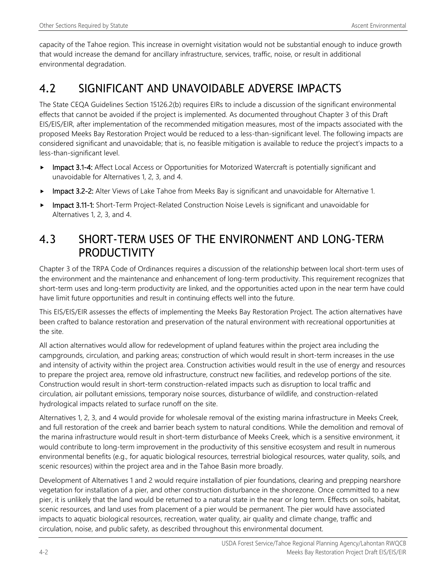capacity of the Tahoe region. This increase in overnight visitation would not be substantial enough to induce growth that would increase the demand for ancillary infrastructure, services, traffic, noise, or result in additional environmental degradation.

### 4.2 SIGNIFICANT AND UNAVOIDABLE ADVERSE IMPACTS

The State CEQA Guidelines Section 15126.2(b) requires EIRs to include a discussion of the significant environmental effects that cannot be avoided if the project is implemented. As documented throughout Chapter 3 of this Draft EIS/EIS/EIR, after implementation of the recommended mitigation measures, most of the impacts associated with the proposed Meeks Bay Restoration Project would be reduced to a less-than-significant level. The following impacts are considered significant and unavoidable; that is, no feasible mitigation is available to reduce the project's impacts to a less-than-significant level.

- ► Impact 3.1-4: Affect Local Access or Opportunities for Motorized Watercraft is potentially significant and unavoidable for Alternatives 1, 2, 3, and 4.
- Impact 3.2-2: Alter Views of Lake Tahoe from Meeks Bay is significant and unavoidable for Alternative 1.
- Impact 3.11-1: Short-Term Project-Related Construction Noise Levels is significant and unavoidable for Alternatives 1, 2, 3, and 4.

#### 4.3 SHORT-TERM USES OF THE ENVIRONMENT AND LONG-TERM PRODUCTIVITY

Chapter 3 of the TRPA Code of Ordinances requires a discussion of the relationship between local short-term uses of the environment and the maintenance and enhancement of long-term productivity. This requirement recognizes that short-term uses and long-term productivity are linked, and the opportunities acted upon in the near term have could have limit future opportunities and result in continuing effects well into the future.

This EIS/EIS/EIR assesses the effects of implementing the Meeks Bay Restoration Project. The action alternatives have been crafted to balance restoration and preservation of the natural environment with recreational opportunities at the site.

All action alternatives would allow for redevelopment of upland features within the project area including the campgrounds, circulation, and parking areas; construction of which would result in short-term increases in the use and intensity of activity within the project area. Construction activities would result in the use of energy and resources to prepare the project area, remove old infrastructure, construct new facilities, and redevelop portions of the site. Construction would result in short-term construction-related impacts such as disruption to local traffic and circulation, air pollutant emissions, temporary noise sources, disturbance of wildlife, and construction-related hydrological impacts related to surface runoff on the site.

Alternatives 1, 2, 3, and 4 would provide for wholesale removal of the existing marina infrastructure in Meeks Creek, and full restoration of the creek and barrier beach system to natural conditions. While the demolition and removal of the marina infrastructure would result in short-term disturbance of Meeks Creek, which is a sensitive environment, it would contribute to long-term improvement in the productivity of this sensitive ecosystem and result in numerous environmental benefits (e.g., for aquatic biological resources, terrestrial biological resources, water quality, soils, and scenic resources) within the project area and in the Tahoe Basin more broadly.

Development of Alternatives 1 and 2 would require installation of pier foundations, clearing and prepping nearshore vegetation for installation of a pier, and other construction disturbance in the shorezone. Once committed to a new pier, it is unlikely that the land would be returned to a natural state in the near or long term. Effects on soils, habitat, scenic resources, and land uses from placement of a pier would be permanent. The pier would have associated impacts to aquatic biological resources, recreation, water quality, air quality and climate change, traffic and circulation, noise, and public safety, as described throughout this environmental document.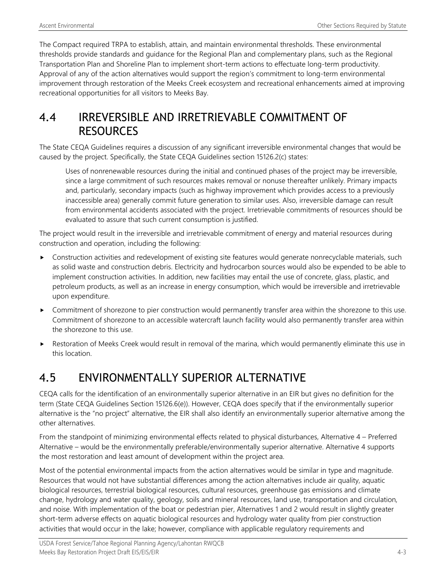The Compact required TRPA to establish, attain, and maintain environmental thresholds. These environmental thresholds provide standards and guidance for the Regional Plan and complementary plans, such as the Regional Transportation Plan and Shoreline Plan to implement short-term actions to effectuate long-term productivity. Approval of any of the action alternatives would support the region's commitment to long-term environmental improvement through restoration of the Meeks Creek ecosystem and recreational enhancements aimed at improving recreational opportunities for all visitors to Meeks Bay.

#### 4.4 IRREVERSIBLE AND IRRETRIEVABLE COMMITMENT OF RESOURCES

The State CEQA Guidelines requires a discussion of any significant irreversible environmental changes that would be caused by the project. Specifically, the State CEQA Guidelines section 15126.2(c) states:

Uses of nonrenewable resources during the initial and continued phases of the project may be irreversible, since a large commitment of such resources makes removal or nonuse thereafter unlikely. Primary impacts and, particularly, secondary impacts (such as highway improvement which provides access to a previously inaccessible area) generally commit future generation to similar uses. Also, irreversible damage can result from environmental accidents associated with the project. Irretrievable commitments of resources should be evaluated to assure that such current consumption is justified.

The project would result in the irreversible and irretrievable commitment of energy and material resources during construction and operation, including the following:

- Construction activities and redevelopment of existing site features would generate nonrecyclable materials, such as solid waste and construction debris. Electricity and hydrocarbon sources would also be expended to be able to implement construction activities. In addition, new facilities may entail the use of concrete, glass, plastic, and petroleum products, as well as an increase in energy consumption, which would be irreversible and irretrievable upon expenditure.
- Commitment of shorezone to pier construction would permanently transfer area within the shorezone to this use. Commitment of shorezone to an accessible watercraft launch facility would also permanently transfer area within the shorezone to this use.
- Restoration of Meeks Creek would result in removal of the marina, which would permanently eliminate this use in this location.

## 4.5 ENVIRONMENTALLY SUPERIOR ALTERNATIVE

CEQA calls for the identification of an environmentally superior alternative in an EIR but gives no definition for the term (State CEQA Guidelines Section 15126.6(e)). However, CEQA does specify that if the environmentally superior alternative is the "no project" alternative, the EIR shall also identify an environmentally superior alternative among the other alternatives.

From the standpoint of minimizing environmental effects related to physical disturbances, Alternative 4 – Preferred Alternative – would be the environmentally preferable/environmentally superior alternative. Alternative 4 supports the most restoration and least amount of development within the project area.

Most of the potential environmental impacts from the action alternatives would be similar in type and magnitude. Resources that would not have substantial differences among the action alternatives include air quality, aquatic biological resources, terrestrial biological resources, cultural resources, greenhouse gas emissions and climate change, hydrology and water quality, geology, soils and mineral resources, land use, transportation and circulation, and noise. With implementation of the boat or pedestrian pier, Alternatives 1 and 2 would result in slightly greater short-term adverse effects on aquatic biological resources and hydrology water quality from pier construction activities that would occur in the lake; however, compliance with applicable regulatory requirements and